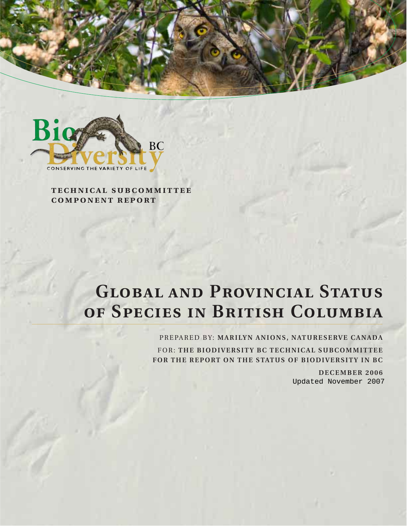



**technical subcommittee component report**

# **Global and Provincial Status of Species in British Columbia**

PREPARED BY: **MARILYN ANIONS, NATURESERVE CANADA** FOR: **THE BIODIVERSITY BC TECHNICAL SUBCOMMITTEE FOR THE REPORT ON THE STATUS OF BIODIVERSITY IN BC**

> **DECEMBER 2006** Updated November 2007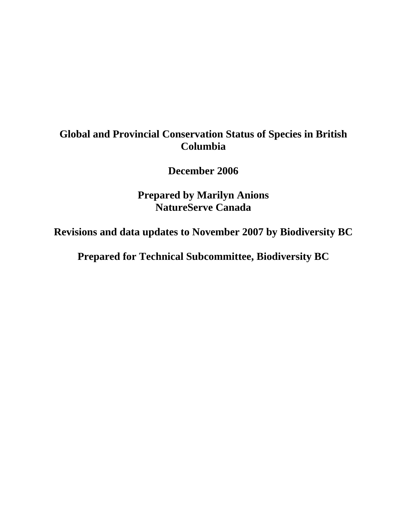## **Global and Provincial Conservation Status of Species in British Columbia**

**December 2006** 

**Prepared by Marilyn Anions NatureServe Canada** 

**Revisions and data updates to November 2007 by Biodiversity BC** 

**Prepared for Technical Subcommittee, Biodiversity BC**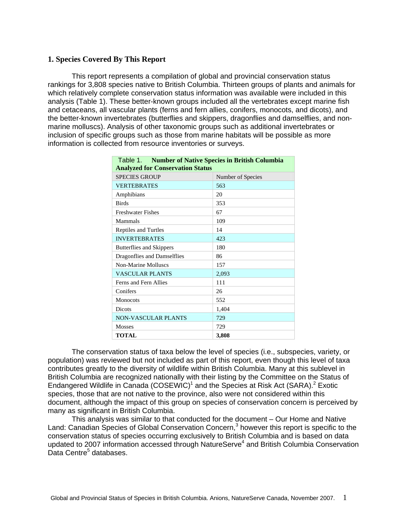#### **1. Species Covered By This Report**

This report represents a compilation of global and provincial conservation status rankings for 3,808 species native to British Columbia. Thirteen groups of plants and animals for which relatively complete conservation status information was available were included in this analysis (Table 1). These better-known groups included all the vertebrates except marine fish and cetaceans, all vascular plants (ferns and fern allies, conifers, monocots, and dicots), and the better-known invertebrates (butterflies and skippers, dragonflies and damselflies, and nonmarine molluscs). Analysis of other taxonomic groups such as additional invertebrates or inclusion of specific groups such as those from marine habitats will be possible as more information is collected from resource inventories or surveys.

| Table 1. Number of Native Species in British Columbia<br><b>Analyzed for Conservation Status</b> |       |  |  |  |  |  |  |  |
|--------------------------------------------------------------------------------------------------|-------|--|--|--|--|--|--|--|
| <b>SPECIES GROUP</b><br>Number of Species                                                        |       |  |  |  |  |  |  |  |
| <b>VERTEBRATES</b>                                                                               | 563   |  |  |  |  |  |  |  |
| Amphibians                                                                                       | 20    |  |  |  |  |  |  |  |
| <b>Birds</b>                                                                                     | 353   |  |  |  |  |  |  |  |
| <b>Freshwater Fishes</b>                                                                         | 67    |  |  |  |  |  |  |  |
| Mammals                                                                                          | 109   |  |  |  |  |  |  |  |
| Reptiles and Turtles                                                                             | 14    |  |  |  |  |  |  |  |
| <b>INVERTEBRATES</b>                                                                             | 423   |  |  |  |  |  |  |  |
| Butterflies and Skippers                                                                         | 180   |  |  |  |  |  |  |  |
| Dragonflies and Damselflies                                                                      | 86    |  |  |  |  |  |  |  |
| Non-Marine Molluscs                                                                              | 157   |  |  |  |  |  |  |  |
| <b>VASCULAR PLANTS</b>                                                                           | 2,093 |  |  |  |  |  |  |  |
| Ferns and Fern Allies                                                                            | 111   |  |  |  |  |  |  |  |
| Conifers                                                                                         | 26    |  |  |  |  |  |  |  |
| <b>Monocots</b>                                                                                  | 552   |  |  |  |  |  |  |  |
| <b>Dicots</b>                                                                                    | 1,404 |  |  |  |  |  |  |  |
| <b>NON-VASCULAR PLANTS</b>                                                                       | 729   |  |  |  |  |  |  |  |
| <b>Mosses</b>                                                                                    | 729   |  |  |  |  |  |  |  |
| <b>TOTAL</b>                                                                                     | 3,808 |  |  |  |  |  |  |  |

The conservation status of taxa below the level of species (i.e., subspecies, variety, or population) was reviewed but not included as part of this report, even though this level of taxa contributes greatly to the diversity of wildlife within British Columbia. Many at this sublevel in British Columbia are recognized nationally with their listing by the Committee on the Status of Endangered Wildlife in Canada  $(COSEWIC)^1$  and the Species at Risk Act  $(SARA).<sup>2</sup> Exotic$ species, those that are not native to the province, also were not considered within this document, although the impact of this group on species of conservation concern is perceived by many as significant in British Columbia.

This analysis was similar to that conducted for the document – Our Home and Native Land: Canadian Species of Global Conservation Concern,<sup>3</sup> however this report is specific to the conservation status of species occurring exclusively to British Columbia and is based on data updated to 2007 information accessed through NatureServe<sup>4</sup> and British Columbia Conservation Data Centre<sup>5</sup> databases.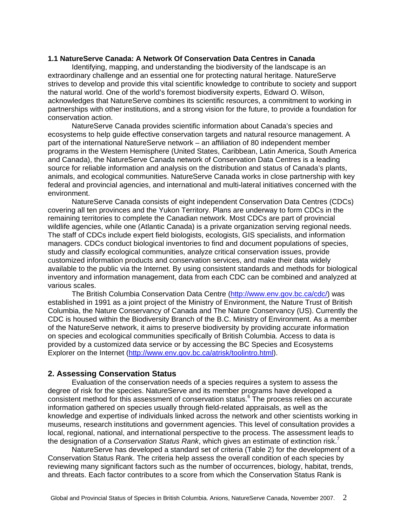#### **1.1 NatureServe Canada: A Network Of Conservation Data Centres in Canada**

Identifying, mapping, and understanding the biodiversity of the landscape is an extraordinary challenge and an essential one for protecting natural heritage. NatureServe strives to develop and provide this vital scientific knowledge to contribute to society and support the natural world. One of the world's foremost biodiversity experts, Edward O. Wilson, acknowledges that NatureServe combines its scientific resources, a commitment to working in partnerships with other institutions, and a strong vision for the future, to provide a foundation for conservation action.

NatureServe Canada provides scientific information about Canada's species and ecosystems to help guide effective conservation targets and natural resource management. A part of the international NatureServe network – an affiliation of 80 independent member programs in the Western Hemisphere (United States, Caribbean, Latin America, South America and Canada), the NatureServe Canada network of Conservation Data Centres is a leading source for reliable information and analysis on the distribution and status of Canada's plants, animals, and ecological communities. NatureServe Canada works in close partnership with key federal and provincial agencies, and international and multi-lateral initiatives concerned with the environment.

NatureServe Canada consists of eight independent Conservation Data Centres (CDCs) covering all ten provinces and the Yukon Territory. Plans are underway to form CDCs in the remaining territories to complete the Canadian network. Most CDCs are part of provincial wildlife agencies, while one (Atlantic Canada) is a private organization serving regional needs. The staff of CDCs include expert field biologists, ecologists, GIS specialists, and information managers. CDCs conduct biological inventories to find and document populations of species, study and classify ecological communities, analyze critical conservation issues, provide customized information products and conservation services, and make their data widely available to the public via the Internet. By using consistent standards and methods for biological inventory and information management, data from each CDC can be combined and analyzed at various scales.

The British Columbia Conservation Data Centre (http://www.env.gov.bc.ca/cdc/) was established in 1991 as a joint project of the Ministry of Environment, the Nature Trust of British Columbia, the Nature Conservancy of Canada and The Nature Conservancy (US). Currently the CDC is housed within the Biodiversity Branch of the B.C. Ministry of Environment. As a member of the NatureServe network, it aims to preserve biodiversity by providing accurate information on species and ecological communities specifically of British Columbia. Access to data is provided by a customized data service or by accessing the BC Species and Ecosystems Explorer on the Internet (http://www.env.gov.bc.ca/atrisk/toolintro.html).

#### **2. Assessing Conservation Status**

Evaluation of the conservation needs of a species requires a system to assess the degree of risk for the species. NatureServe and its member programs have developed a consistent method for this assessment of conservation status.<sup>6</sup> The process relies on accurate information gathered on species usually through field-related appraisals, as well as the knowledge and expertise of individuals linked across the network and other scientists working in museums, research institutions and government agencies. This level of consultation provides a local, regional, national, and international perspective to the process. The assessment leads to the designation of a *Conservation Status Rank*, which gives an estimate of extinction risk.7

NatureServe has developed a standard set of criteria (Table 2) for the development of a Conservation Status Rank. The criteria help assess the overall condition of each species by reviewing many significant factors such as the number of occurrences, biology, habitat, trends, and threats. Each factor contributes to a score from which the Conservation Status Rank is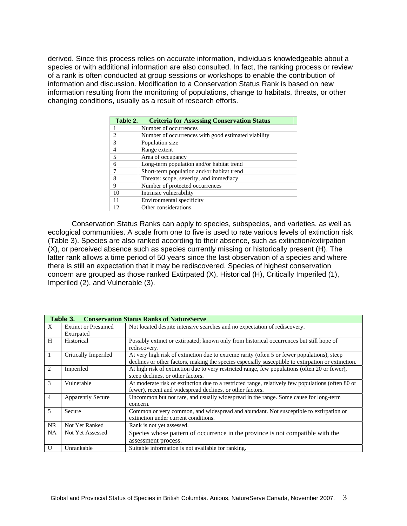derived. Since this process relies on accurate information, individuals knowledgeable about a species or with additional information are also consulted. In fact, the ranking process or review of a rank is often conducted at group sessions or workshops to enable the contribution of information and discussion. Modification to a Conservation Status Rank is based on new information resulting from the monitoring of populations, change to habitats, threats, or other changing conditions, usually as a result of research efforts.

| Table 2.       | <b>Criteria for Assessing Conservation Status</b>   |
|----------------|-----------------------------------------------------|
| 1              | Number of occurrences                               |
| $\mathfrak{D}$ | Number of occurrences with good estimated viability |
| 3              | Population size                                     |
| $\overline{4}$ | Range extent                                        |
| 5              | Area of occupancy                                   |
| 6              | Long-term population and/or habitat trend           |
| 7              | Short-term population and/or habitat trend          |
| 8              | Threats: scope, severity, and immediacy             |
| 9              | Number of protected occurrences                     |
| 10             | Intrinsic vulnerability                             |
| 11             | Environmental specificity                           |
|                | Other considerations                                |

Conservation Status Ranks can apply to species, subspecies, and varieties, as well as ecological communities. A scale from one to five is used to rate various levels of extinction risk (Table 3). Species are also ranked according to their absence, such as extinction/extirpation (X), or perceived absence such as species currently missing or historically present (H). The latter rank allows a time period of 50 years since the last observation of a species and where there is still an expectation that it may be rediscovered. Species of highest conservation concern are grouped as those ranked Extirpated (X), Historical (H), Critically Imperiled (1), Imperiled (2), and Vulnerable (3).

|                | <b>Table 3. Conservation Status Ranks of NatureServe</b> |                                                                                                    |  |  |  |  |  |  |  |
|----------------|----------------------------------------------------------|----------------------------------------------------------------------------------------------------|--|--|--|--|--|--|--|
| X              | <b>Extinct or Presumed</b>                               | Not located despite intensive searches and no expectation of rediscovery.                          |  |  |  |  |  |  |  |
|                | Extirpated                                               |                                                                                                    |  |  |  |  |  |  |  |
| H              | Historical                                               | Possibly extinct or extirpated; known only from historical occurrences but still hope of           |  |  |  |  |  |  |  |
|                |                                                          | rediscovery.                                                                                       |  |  |  |  |  |  |  |
| 1              | Critically Imperiled                                     | At very high risk of extinction due to extreme rarity (often 5 or fewer populations), steep        |  |  |  |  |  |  |  |
|                |                                                          | declines or other factors, making the species especially susceptible to extirpation or extinction. |  |  |  |  |  |  |  |
| 2              | Imperiled                                                | At high risk of extinction due to very restricted range, few populations (often 20 or fewer),      |  |  |  |  |  |  |  |
|                |                                                          | steep declines, or other factors.                                                                  |  |  |  |  |  |  |  |
| 3              | Vulnerable                                               | At moderate risk of extinction due to a restricted range, relatively few populations (often 80 or  |  |  |  |  |  |  |  |
|                |                                                          | fewer), recent and widespread declines, or other factors.                                          |  |  |  |  |  |  |  |
| $\overline{4}$ | <b>Apparently Secure</b>                                 | Uncommon but not rare, and usually widespread in the range. Some cause for long-term               |  |  |  |  |  |  |  |
|                |                                                          | concern.                                                                                           |  |  |  |  |  |  |  |
| 5              | Secure                                                   | Common or very common, and widespread and abundant. Not susceptible to extirpation or              |  |  |  |  |  |  |  |
|                |                                                          | extinction under current conditions.                                                               |  |  |  |  |  |  |  |
| <b>NR</b>      | Not Yet Ranked                                           | Rank is not yet assessed.                                                                          |  |  |  |  |  |  |  |
| <b>NA</b>      | Not Yet Assessed                                         | Species whose pattern of occurrence in the province is not compatible with the                     |  |  |  |  |  |  |  |
|                |                                                          | assessment process.                                                                                |  |  |  |  |  |  |  |
| U              | Unrankable                                               | Suitable information is not available for ranking.                                                 |  |  |  |  |  |  |  |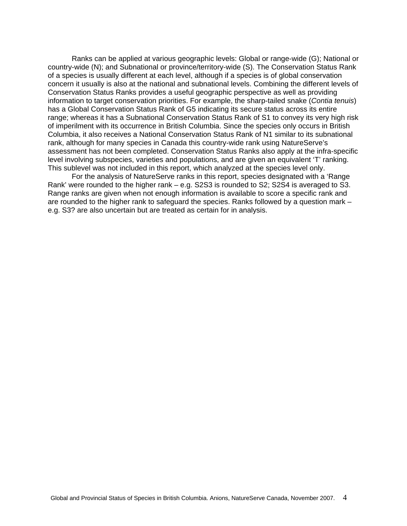Ranks can be applied at various geographic levels: Global or range-wide (G); National or country-wide (N); and Subnational or province/territory-wide (S). The Conservation Status Rank of a species is usually different at each level, although if a species is of global conservation concern it usually is also at the national and subnational levels. Combining the different levels of Conservation Status Ranks provides a useful geographic perspective as well as providing information to target conservation priorities. For example, the sharp-tailed snake (*Contia tenuis*) has a Global Conservation Status Rank of G5 indicating its secure status across its entire range; whereas it has a Subnational Conservation Status Rank of S1 to convey its very high risk of imperilment with its occurrence in British Columbia. Since the species only occurs in British Columbia, it also receives a National Conservation Status Rank of N1 similar to its subnational rank, although for many species in Canada this country-wide rank using NatureServe's assessment has not been completed. Conservation Status Ranks also apply at the infra-specific level involving subspecies, varieties and populations, and are given an equivalent 'T' ranking. This sublevel was not included in this report, which analyzed at the species level only.

For the analysis of NatureServe ranks in this report, species designated with a 'Range Rank' were rounded to the higher rank – e.g. S2S3 is rounded to S2; S2S4 is averaged to S3. Range ranks are given when not enough information is available to score a specific rank and are rounded to the higher rank to safeguard the species. Ranks followed by a question mark – e.g. S3? are also uncertain but are treated as certain for in analysis.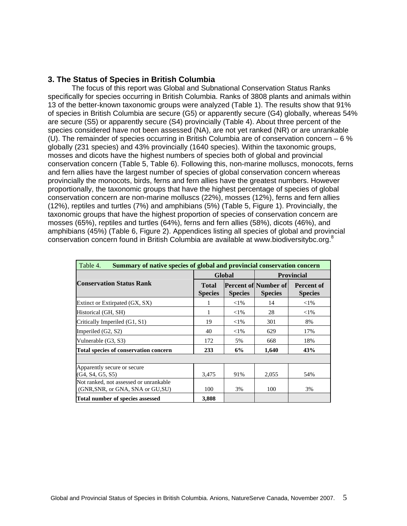### **3. The Status of Species in British Columbia**

The focus of this report was Global and Subnational Conservation Status Ranks specifically for species occurring in British Columbia. Ranks of 3808 plants and animals within 13 of the better-known taxonomic groups were analyzed (Table 1). The results show that 91% of species in British Columbia are secure (G5) or apparently secure (G4) globally, whereas 54% are secure (S5) or apparently secure (S4) provincially (Table 4). About three percent of the species considered have not been assessed (NA), are not yet ranked (NR) or are unrankable (U). The remainder of species occurring in British Columbia are of conservation concern – 6 % globally (231 species) and 43% provincially (1640 species). Within the taxonomic groups, mosses and dicots have the highest numbers of species both of global and provincial conservation concern (Table 5, Table 6). Following this, non-marine molluscs, monocots, ferns and fern allies have the largest number of species of global conservation concern whereas provincially the monocots, birds, ferns and fern allies have the greatest numbers. However proportionally, the taxonomic groups that have the highest percentage of species of global conservation concern are non-marine molluscs (22%), mosses (12%), ferns and fern allies (12%), reptiles and turtles (7%) and amphibians (5%) (Table 5, Figure 1). Provincially, the taxonomic groups that have the highest proportion of species of conservation concern are mosses (65%), reptiles and turtles (64%), ferns and fern allies (58%), dicots (46%), and amphibians (45%) (Table 6, Figure 2). Appendices listing all species of global and provincial conservation concern found in British Columbia are available at www.biodiversitybc.org.<sup>8</sup>

| Summary of native species of global and provincial conservation concern<br>Table 4. |                                |                |                                         |                                     |  |  |  |  |  |  |
|-------------------------------------------------------------------------------------|--------------------------------|----------------|-----------------------------------------|-------------------------------------|--|--|--|--|--|--|
|                                                                                     |                                | Global         | <b>Provincial</b>                       |                                     |  |  |  |  |  |  |
| <b>Conservation Status Rank</b>                                                     | <b>Total</b><br><b>Species</b> | <b>Species</b> | Percent of Number of <br><b>Species</b> | <b>Percent of</b><br><b>Species</b> |  |  |  |  |  |  |
| Extinct or Extirpated (GX, SX)                                                      |                                | $<$ 1%         | 14                                      | $<$ 1%                              |  |  |  |  |  |  |
| Historical (GH, SH)                                                                 |                                | ${<}1\%$       | 28                                      | $<$ 1%                              |  |  |  |  |  |  |
| Critically Imperiled (G1, S1)                                                       | 19                             | ${<}1\%$       | 301                                     | 8%                                  |  |  |  |  |  |  |
| Imperiled $(G2, S2)$                                                                | 40                             | ${<}1\%$       | 629                                     | 17%                                 |  |  |  |  |  |  |
| Vulnerable (G3, S3)                                                                 | 172                            | 5%             | 668                                     | 18%                                 |  |  |  |  |  |  |
| Total species of conservation concern                                               | 233                            | 6%             | 1,640                                   | 43%                                 |  |  |  |  |  |  |
|                                                                                     |                                |                |                                         |                                     |  |  |  |  |  |  |
| Apparently secure or secure<br>(G4, S4, G5, S5)                                     | 3,475                          | 91%            | 2,055                                   | 54%                                 |  |  |  |  |  |  |
| Not ranked, not assessed or unrankable<br>(GNR, SNR, or GNA, SNA or GU, SU)         | 100                            | 3%             | 100                                     | 3%                                  |  |  |  |  |  |  |
| Total number of species assessed                                                    | 3.808                          |                |                                         |                                     |  |  |  |  |  |  |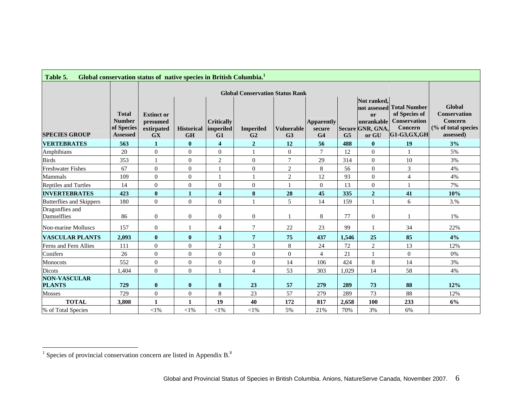| Table 5.                             |                                                                | Global conservation status of native species in British Columbia. <sup>1</sup> |                                |                                      |                                    |                                     |                                               |                |                                                                                         |                                                                                         |                                                                              |
|--------------------------------------|----------------------------------------------------------------|--------------------------------------------------------------------------------|--------------------------------|--------------------------------------|------------------------------------|-------------------------------------|-----------------------------------------------|----------------|-----------------------------------------------------------------------------------------|-----------------------------------------------------------------------------------------|------------------------------------------------------------------------------|
|                                      |                                                                |                                                                                |                                |                                      |                                    |                                     |                                               |                |                                                                                         |                                                                                         |                                                                              |
|                                      |                                                                |                                                                                |                                |                                      |                                    |                                     |                                               |                |                                                                                         |                                                                                         |                                                                              |
| <b>SPECIES GROUP</b>                 | <b>Total</b><br><b>Number</b><br>of Species<br><b>Assessed</b> | <b>Extinct or</b><br>presumed<br>extirpated<br><b>GX</b>                       | <b>Historical</b><br><b>GH</b> | <b>Critically</b><br>imperiled<br>G1 | <b>Imperiled</b><br>G <sub>2</sub> | <b>Vulnerable</b><br>G <sub>3</sub> | <b>Apparently</b><br>secure<br>G <sub>4</sub> | G <sub>5</sub> | Not ranked,<br>not assessed<br><sub>or</sub><br>unrankable<br>Secure GNR, GNA,<br>or GU | <b>Total Number</b><br>of Species of<br><b>Conservation</b><br>Concern<br>$G1-G3,GX,GH$ | Global<br><b>Conservation</b><br>Concern<br>(% of total species<br>assessed) |
| <b>VERTEBRATES</b>                   | 563                                                            | $\mathbf{1}$                                                                   | $\bf{0}$                       | $\overline{\mathbf{4}}$              | $\overline{2}$                     | 12                                  | 56                                            | 488            | $\mathbf{0}$                                                                            | 19                                                                                      | 3%                                                                           |
| Amphibians                           | 20                                                             | $\theta$                                                                       | $\mathbf{0}$                   | $\mathbf{0}$                         |                                    | $\overline{0}$                      | $\overline{7}$                                | 12             | $\mathbf{0}$                                                                            |                                                                                         | 5%                                                                           |
| <b>Birds</b>                         | 353                                                            | $\mathbf{1}$                                                                   | $\theta$                       | $\overline{2}$                       | $\overline{0}$                     | $\overline{7}$                      | 29                                            | 314            | $\Omega$                                                                                | 10                                                                                      | 3%                                                                           |
| <b>Freshwater Fishes</b>             | 67                                                             | $\overline{0}$                                                                 | $\overline{0}$                 |                                      | $\boldsymbol{0}$                   | $\overline{2}$                      | 8                                             | 56             | $\mathbf{0}$                                                                            | 3                                                                                       | 4%                                                                           |
| Mammals                              | 109                                                            | $\overline{0}$                                                                 | $\overline{0}$                 |                                      |                                    | $\sqrt{2}$                          | 12                                            | 93             | $\Omega$                                                                                | $\overline{4}$                                                                          | 4%                                                                           |
| Reptiles and Turtles                 | 14                                                             | $\Omega$                                                                       | $\theta$                       | $\overline{0}$                       | $\overline{0}$                     | $\mathbf{1}$                        | $\Omega$                                      | 13             | $\Omega$                                                                                |                                                                                         | 7%                                                                           |
| <b>INVERTEBRATES</b>                 | 423                                                            | $\bf{0}$                                                                       | $\mathbf{1}$                   | $\overline{\mathbf{4}}$              | $\bf{8}$                           | 28                                  | 45                                            | 335            | $\boldsymbol{2}$                                                                        | 41                                                                                      | 10%                                                                          |
| Butterflies and Skippers             | 180                                                            | $\theta$                                                                       | $\overline{0}$                 | $\overline{0}$                       | $\mathbf{1}$                       | 5                                   | 14                                            | 159            | $\mathbf{1}$                                                                            | 6                                                                                       | 3.%                                                                          |
| Dragonflies and<br>Damselflies       | 86                                                             | $\theta$                                                                       | $\overline{0}$                 | $\theta$                             | $\boldsymbol{0}$                   | 1                                   | 8                                             | 77             | $\theta$                                                                                |                                                                                         | 1%                                                                           |
| Non-marine Molluscs                  | 157                                                            | $\overline{0}$                                                                 | $\mathbf{1}$                   | 4                                    | 7                                  | 22                                  | 23                                            | 99             | $\mathbf{1}$                                                                            | 34                                                                                      | 22%                                                                          |
| <b>VASCULAR PLANTS</b>               | 2,093                                                          | $\bf{0}$                                                                       | $\bf{0}$                       | $\mathbf{3}$                         | 7                                  | 75                                  | 437                                           | 1.546          | 25                                                                                      | 85                                                                                      | 4%                                                                           |
| Ferns and Fern Allies                | 111                                                            | $\theta$                                                                       | $\Omega$                       | $\mathbf{2}$                         | 3                                  | 8                                   | 24                                            | 72             | $\overline{2}$                                                                          | 13                                                                                      | 12%                                                                          |
| Conifers                             | 26                                                             | $\theta$                                                                       | $\overline{0}$                 | $\overline{0}$                       | $\overline{0}$                     | $\overline{0}$                      | $\overline{4}$                                | 21             |                                                                                         | $\mathbf{0}$                                                                            | 0%                                                                           |
| Monocots                             | 552                                                            | $\Omega$                                                                       | $\overline{0}$                 | $\overline{0}$                       | $\boldsymbol{0}$                   | 14                                  | 106                                           | 424            | 8                                                                                       | 14                                                                                      | 3%                                                                           |
| <b>Dicots</b>                        | 1,404                                                          | $\theta$                                                                       | $\mathbf{0}$                   | $\mathbf{1}$                         | $\overline{4}$                     | 53                                  | 303                                           | 1,029          | 14                                                                                      | 58                                                                                      | 4%                                                                           |
| <b>NON-VASCULAR</b><br><b>PLANTS</b> | 729                                                            | $\bf{0}$                                                                       | $\bf{0}$                       | ${\bf 8}$                            | 23                                 | 57                                  | 279                                           | 289            | 73                                                                                      | 88                                                                                      | 12%                                                                          |
| <b>Mosses</b>                        | 729                                                            | $\mathbf{0}$                                                                   | $\overline{0}$                 | $\,8\,$                              | 23                                 | 57                                  | 279                                           | 289            | 73                                                                                      | 88                                                                                      | 12%                                                                          |
| <b>TOTAL</b>                         | 3,808                                                          | $\mathbf{1}$                                                                   | $\mathbf{1}$                   | 19                                   | 40                                 | 172                                 | 817                                           | 2,658          | 100                                                                                     | 233                                                                                     | 6%                                                                           |
| % of Total Species                   |                                                                | ${<}1\%$                                                                       | ${<}1\%$                       | $<$ l $%$                            | $<$ l $%$                          | 5%                                  | 21%                                           | 70%            | 3%                                                                                      | 6%                                                                                      |                                                                              |

 $\mathcal{L}(\mathcal{L})$  and  $\mathcal{L}(\mathcal{L})$ 

 $^1$  Species of provincial conservation concern are listed in Appendix B. $^8$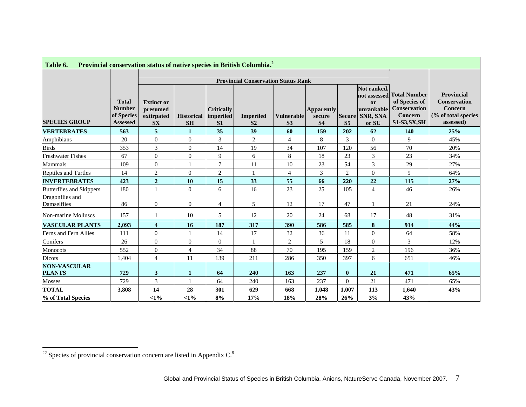| Provincial conservation status of native species in British Columbia. <sup>2</sup><br>Table 6. |                                                                |                                                          |                                            |                                     |                                    |                                     |                                          |                                 |                                                                      |                                                                                                |                                                                                  |
|------------------------------------------------------------------------------------------------|----------------------------------------------------------------|----------------------------------------------------------|--------------------------------------------|-------------------------------------|------------------------------------|-------------------------------------|------------------------------------------|---------------------------------|----------------------------------------------------------------------|------------------------------------------------------------------------------------------------|----------------------------------------------------------------------------------|
|                                                                                                |                                                                | <b>Provincial Conservation Status Rank</b>               |                                            |                                     |                                    |                                     |                                          |                                 |                                                                      |                                                                                                |                                                                                  |
| <b>SPECIES GROUP</b>                                                                           | <b>Total</b><br><b>Number</b><br>of Species<br><b>Assessed</b> | <b>Extinct or</b><br>presumed<br>extirpated<br><b>SX</b> | <b>Historical   imperiled</b><br><b>SH</b> | <b>Critically</b><br>S <sub>1</sub> | <b>Imperiled</b><br>S <sub>2</sub> | <b>Vulnerable</b><br>S <sub>3</sub> | <b>Apparently</b><br>secure<br><b>S4</b> | <b>Secure</b><br>S <sub>5</sub> | Not ranked.<br>not assessed<br>or<br>unrankable<br>SNR, SNA<br>or SU | <b>Total Number</b><br>of Species of<br><b>Conservation</b><br>Concern<br><b>S1-S3, SX, SH</b> | Provincial<br><b>Conservation</b><br>Concern<br>(% of total species<br>assessed) |
| <b>VERTEBRATES</b>                                                                             | 563                                                            | 5                                                        | $\mathbf{1}$                               | 35                                  | 39                                 | 60                                  | 159                                      | 202                             | 62                                                                   | 140                                                                                            | 25%                                                                              |
| Amphibians                                                                                     | 20                                                             | $\overline{0}$                                           | $\mathbf{0}$                               | 3                                   | 2                                  | $\overline{4}$                      | 8                                        | 3                               | $\Omega$                                                             | 9                                                                                              | 45%                                                                              |
| <b>Birds</b>                                                                                   | 353                                                            | 3                                                        | $\overline{0}$                             | 14                                  | 19                                 | 34                                  | 107                                      | 120                             | 56                                                                   | 70                                                                                             | 20%                                                                              |
| <b>Freshwater Fishes</b>                                                                       | 67                                                             | $\overline{0}$                                           | $\mathbf{0}$                               | 9                                   | 6                                  | $\,8\,$                             | 18                                       | 23                              | 3                                                                    | 23                                                                                             | 34%                                                                              |
| Mammals                                                                                        | 109                                                            | $\theta$                                                 |                                            | $\tau$                              | 11                                 | 10                                  | 23                                       | 54                              | 3                                                                    | 29                                                                                             | 27%                                                                              |
| Reptiles and Turtles                                                                           | 14                                                             | $\overline{2}$                                           | $\overline{0}$                             | $\overline{c}$                      | $\mathbf{1}$                       | 4                                   | 3                                        | $\overline{2}$                  | $\mathbf{0}$                                                         | 9                                                                                              | 64%                                                                              |
| <b>INVERTEBRATES</b>                                                                           | 423                                                            | $\boldsymbol{2}$                                         | 10                                         | 15                                  | 33                                 | 55                                  | 66                                       | 220                             | 22                                                                   | 115                                                                                            | 27%                                                                              |
| Butterflies and Skippers                                                                       | 180                                                            | $\mathbf{1}$                                             | $\mathbf{0}$                               | 6                                   | 16                                 | 23                                  | 25                                       | 105                             | $\overline{4}$                                                       | 46                                                                                             | 26%                                                                              |
| Dragonflies and<br>Damselflies                                                                 | 86                                                             | $\mathbf{0}$                                             | $\mathbf{0}$                               | $\overline{4}$                      | 5                                  | 12                                  | 17                                       | 47                              |                                                                      | 21                                                                                             | 24%                                                                              |
| Non-marine Molluscs                                                                            | 157                                                            | $\mathbf{1}$                                             | 10                                         | 5                                   | 12                                 | 20                                  | 24                                       | 68                              | 17                                                                   | 48                                                                                             | 31%                                                                              |
| <b>VASCULAR PLANTS</b>                                                                         | 2,093                                                          | $\overline{\mathbf{4}}$                                  | 16                                         | 187                                 | 317                                | 390                                 | 586                                      | 585                             | 8                                                                    | 914                                                                                            | 44%                                                                              |
| Ferns and Fern Allies                                                                          | 111                                                            | $\theta$                                                 | 1                                          | 14                                  | 17                                 | 32                                  | 36                                       | 11                              | $\Omega$                                                             | 64                                                                                             | 58%                                                                              |
| Conifers                                                                                       | 26                                                             | $\mathbf{0}$                                             | $\mathbf{0}$                               | $\mathbf{0}$                        | $\mathbf{1}$                       | 2                                   | 5                                        | 18                              | $\theta$                                                             | 3                                                                                              | 12%                                                                              |
| Monocots                                                                                       | 552                                                            | $\overline{0}$                                           | $\overline{4}$                             | 34                                  | 88                                 | 70                                  | 195                                      | 159                             | $\overline{2}$                                                       | 196                                                                                            | 36%                                                                              |
| Dicots                                                                                         | 1,404                                                          | $\overline{4}$                                           | 11                                         | 139                                 | 211                                | 286                                 | 350                                      | 397                             | 6                                                                    | 651                                                                                            | 46%                                                                              |
| <b>NON-VASCULAR</b><br><b>PLANTS</b>                                                           | 729                                                            | 3                                                        | $\mathbf{1}$                               | 64                                  | 240                                | 163                                 | 237                                      | $\bf{0}$                        | 21                                                                   | 471                                                                                            | 65%                                                                              |
| <b>Mosses</b>                                                                                  | 729                                                            | 3                                                        |                                            | 64                                  | 240                                | 163                                 | 237                                      | $\overline{0}$                  | 21                                                                   | 471                                                                                            | 65%                                                                              |
| <b>TOTAL</b>                                                                                   | 3,808                                                          | 14                                                       | 28                                         | 301                                 | 629                                | 668                                 | 1,048                                    | 1.007                           | 113                                                                  | 1.640                                                                                          | 43%                                                                              |
| % of Total Species                                                                             |                                                                | <1%                                                      | <1%                                        | 8%                                  | 17%                                | 18%                                 | 28%                                      | 26%                             | 3%                                                                   | 43%                                                                                            |                                                                                  |

 $\frac{1}{22}$  Species of provincial conservation concern are listed in Appendix C.<sup>8</sup>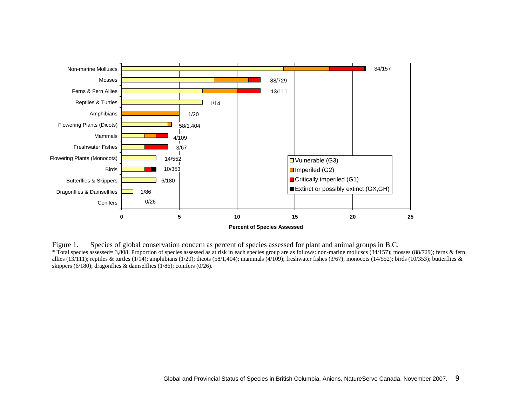

Figure 1. Species of global conservation concern as percent of species assessed for plant and animal groups in B.C. \* Total species assessed= 3,808. Proportion of species assessed as at risk in each species group are as follows: non-marine molluscs (34/157); mosses (88/729); ferns & fern allies (13/111); reptiles & turtles (1/14); amphibians (1/20); dicots (58/1,404); mammals (4/109); freshwater fishes (3/67); monocots (14/552); birds (10/353); butterflies & skippers (6/180); dragonflies & damselflies (1/86); conifers (0/26).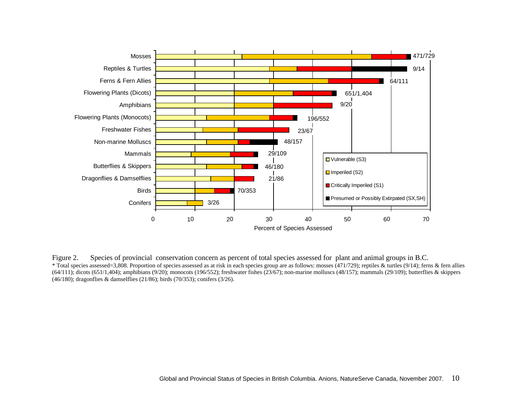

Figure 2. Species of provincial conservation concern as percent of total species assessed for plant and animal groups in B.C. \* Total species assessed=3,808. Proportion of species assessed as at risk in each species group are as follows: mosses (471/729); reptiles & turtles (9/14); ferns & fern allies  $(64/111)$ ; dicots  $(651/1,404)$ ; amphibians  $(9/20)$ ; monocots  $(196/552)$ ; freshwater fishes  $(23/67)$ ; non-marine molluscs  $(48/157)$ ; mammals  $(29/109)$ ; butterflies & skippers (46/180); dragonflies & damselflies (21/86); birds (70/353); conifers (3/26).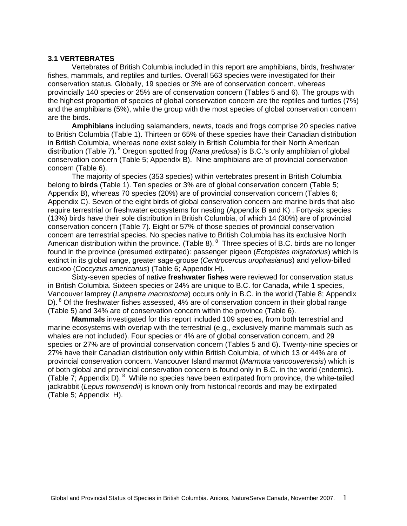#### **3.1 VERTEBRATES**

Vertebrates of British Columbia included in this report are amphibians, birds, freshwater fishes, mammals, and reptiles and turtles. Overall 563 species were investigated for their conservation status. Globally, 19 species or 3% are of conservation concern, whereas provincially 140 species or 25% are of conservation concern (Tables 5 and 6). The groups with the highest proportion of species of global conservation concern are the reptiles and turtles (7%) and the amphibians (5%), while the group with the most species of global conservation concern are the birds.

**Amphibians** including salamanders, newts, toads and frogs comprise 20 species native to British Columbia (Table 1). Thirteen or 65% of these species have their Canadian distribution in British Columbia, whereas none exist solely in British Columbia for their North American distribution (Table 7). 8 Oregon spotted frog (*Rana pretiosa*) is B.C.'s only amphibian of global conservation concern (Table 5; Appendix B). Nine amphibians are of provincial conservation concern (Table 6).

The majority of species (353 species) within vertebrates present in British Columbia belong to **birds** (Table 1). Ten species or 3% are of global conservation concern (Table 5; Appendix B), whereas 70 species (20%) are of provincial conservation concern (Tables 6; Appendix C). Seven of the eight birds of global conservation concern are marine birds that also require terrestrial or freshwater ecosystems for nesting (Appendix B and K) . Forty-six species (13%) birds have their sole distribution in British Columbia, of which 14 (30%) are of provincial conservation concern (Table 7). Eight or 57% of those species of provincial conservation concern are terrestrial species. No species native to British Columbia has its exclusive North American distribution within the province. (Table 8).  $8$  Three species of B.C. birds are no longer found in the province (presumed extirpated): passenger pigeon (*Ectopistes migratorius*) which is extinct in its global range, greater sage-grouse (*Centrocercus urophasianus*) and yellow-billed cuckoo (*Coccyzus americanus*) (Table 6; Appendix H).

Sixty-seven species of native **freshwater fishes** were reviewed for conservation status in British Columbia. Sixteen species or 24% are unique to B.C. for Canada, while 1 species, Vancouver lamprey (*Lampetra macrostoma*) occurs only in B.C. in the world (Table 8; Appendix D). <sup>8</sup> Of the freshwater fishes assessed, 4% are of conservation concern in their global range (Table 5) and 34% are of conservation concern within the province (Table 6).

**Mammals** investigated for this report included 109 species, from both terrestrial and marine ecosystems with overlap with the terrestrial (e.g., exclusively marine mammals such as whales are not included). Four species or 4% are of global conservation concern, and 29 species or 27% are of provincial conservation concern (Tables 5 and 6). Twenty-nine species or 27% have their Canadian distribution only within British Columbia, of which 13 or 44% are of provincial conservation concern. Vancouver Island marmot (*Marmota vancouverensis*) which is of both global and provincial conservation concern is found only in B.C. in the world (endemic). (Table  $\overline{7}$ ; Appendix D). <sup>8</sup> While no species have been extirpated from province, the white-tailed jackrabbit (*Lepus townsendii*) is known only from historical records and may be extirpated (Table 5; Appendix H).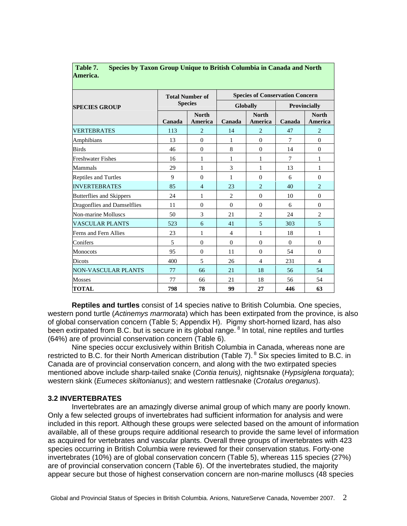|                                 |        | <b>Total Number of</b>  | <b>Species of Conservation Concern</b> |                         |              |                                |  |  |  |
|---------------------------------|--------|-------------------------|----------------------------------------|-------------------------|--------------|--------------------------------|--|--|--|
| <b>SPECIES GROUP</b>            |        | <b>Species</b>          |                                        | <b>Globally</b>         | Provincially |                                |  |  |  |
|                                 | Canada | <b>North</b><br>America | Canada                                 | <b>North</b><br>America | Canada       | <b>North</b><br><b>America</b> |  |  |  |
| <b>VERTEBRATES</b>              | 113    | $\overline{2}$          | 14                                     | $\overline{2}$          | 47           | $\overline{2}$                 |  |  |  |
| Amphibians                      | 13     | $\Omega$                | 1                                      | $\Omega$                | 7            | $\theta$                       |  |  |  |
| <b>Birds</b>                    | 46     | $\Omega$                | 8                                      | $\Omega$                | 14           | $\theta$                       |  |  |  |
| <b>Freshwater Fishes</b>        | 16     | 1                       | 1                                      | 1                       | 7            | 1                              |  |  |  |
| Mammals                         | 29     | 1                       | $\mathcal{E}$                          | 1                       | 13           | 1                              |  |  |  |
| <b>Reptiles and Turtles</b>     | 9      | $\Omega$                | 1                                      | $\Omega$                | 6            | $\theta$                       |  |  |  |
| <b>INVERTEBRATES</b>            | 85     | $\overline{4}$          | 23                                     | $\mathfrak{D}$          | 40           | $\overline{2}$                 |  |  |  |
| <b>Butterflies and Skippers</b> | 24     | 1                       | $\overline{c}$                         | $\Omega$                | 10           | $\Omega$                       |  |  |  |
| Dragonflies and Damselflies     | 11     | $\Omega$                | $\Omega$                               | $\Omega$                | 6            | $\Omega$                       |  |  |  |
| Non-marine Molluscs             | 50     | 3                       | 21                                     | $\overline{2}$          | 24           | $\overline{2}$                 |  |  |  |
| <b>VASCULAR PLANTS</b>          | 523    | 6                       | 41                                     | 5                       | 303          | 5                              |  |  |  |
| Ferns and Fern Allies           | 23     | 1                       | $\overline{4}$                         | 1                       | 18           | 1                              |  |  |  |
| Conifers                        | 5      | $\Omega$                | $\Omega$                               | $\Omega$                | $\Omega$     | $\theta$                       |  |  |  |
| Monocots                        | 95     | $\Omega$                | 11                                     | $\Omega$                | 54           | $\Omega$                       |  |  |  |
| Dicots                          | 400    | 5                       | 26                                     | $\overline{4}$          | 231          | $\overline{4}$                 |  |  |  |
| <b>NON-VASCULAR PLANTS</b>      | 77     | 66                      | 2.1                                    | 18                      | 56           | 54                             |  |  |  |
| <b>Mosses</b>                   | 77     | 66                      | 21                                     | 18                      | 56           | 54                             |  |  |  |
| <b>TOTAL</b>                    | 798    | 78                      | 99                                     | 27                      | 446          | 63                             |  |  |  |

#### **Table 7. Species by Taxon Group Unique to British Columbia in Canada and North America.**

**Reptiles and turtles** consist of 14 species native to British Columbia. One species, western pond turtle (*Actinemys marmorata*) which has been extirpated from the province, is also of global conservation concern (Table 5; Appendix H). Pigmy short-horned lizard, has also been extirpated from B.C. but is secure in its global range.<sup>8</sup> In total, nine reptiles and turtles (64%) are of provincial conservation concern (Table 6).

Nine species occur exclusively within British Columbia in Canada, whereas none are restricted to B.C. for their North American distribution (Table 7). <sup>8</sup> Six species limited to B.C. in Canada are of provincial conservation concern, and along with the two extirpated species mentioned above include sharp-tailed snake (*Contia tenuis),* nightsnake (*Hypsiglena torquata*); western skink (*Eumeces skiltonianus*); and western rattlesnake (*Crotalus oreganus*).

#### **3.2 INVERTEBRATES**

Invertebrates are an amazingly diverse animal group of which many are poorly known. Only a few selected groups of invertebrates had sufficient information for analysis and were included in this report. Although these groups were selected based on the amount of information available, all of these groups require additional research to provide the same level of information as acquired for vertebrates and vascular plants. Overall three groups of invertebrates with 423 species occurring in British Columbia were reviewed for their conservation status. Forty-one invertebrates (10%) are of global conservation concern (Table 5), whereas 115 species (27%) are of provincial conservation concern (Table 6). Of the invertebrates studied, the majority appear secure but those of highest conservation concern are non-marine molluscs (48 species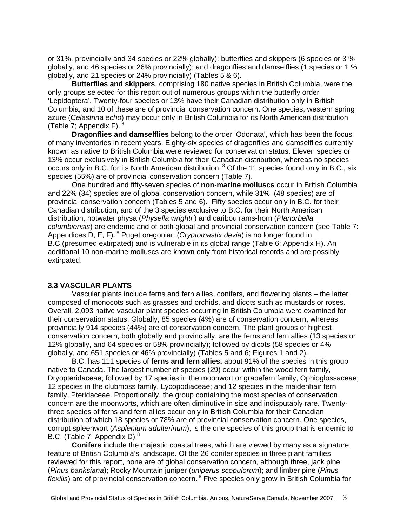or 31%, provincially and 34 species or 22% globally); butterflies and skippers (6 species or 3 % globally, and 46 species or 26% provincially); and dragonflies and damselflies (1 species or 1 % globally, and 21 species or 24% provincially) (Tables 5 & 6).

**Butterflies and skippers**, comprising 180 native species in British Columbia, were the only groups selected for this report out of numerous groups within the butterfly order 'Lepidoptera'. Twenty-four species or 13% have their Canadian distribution only in British Columbia, and 10 of these are of provincial conservation concern. One species, western spring azure (*Celastrina echo*) may occur only in British Columbia for its North American distribution (Table 7; Appendix F).  $^{8}$ 

**Dragonflies and damselflies** belong to the order 'Odonata', which has been the focus of many inventories in recent years. Eighty-six species of dragonflies and damselflies currently known as native to British Columbia were reviewed for conservation status. Eleven species or 13% occur exclusively in British Columbia for their Canadian distribution, whereas no species occurs only in B.C. for its North American distribution. <sup>8</sup> Of the 11 species found only in B.C., six species (55%) are of provincial conservation concern (Table 7).

One hundred and fifty-seven species of **non-marine molluscs** occur in British Columbia and 22% (34) species are of global conservation concern, while 31% (48 species) are of provincial conservation concern (Tables 5 and 6). Fifty species occur only in B.C. for their Canadian distribution, and of the 3 species exclusive to B.C. for their North American distribution, hotwater physa (*Physella wrighti* ) and caribou rams-horn (*Planorbella columbiensis*) are endemic and of both global and provincial conservation concern (see Table 7: Appendices D, E, F). 8 Puget oregonian (*Cryptomastix devia*) is no longer found in B.C.(presumed extirpated) and is vulnerable in its global range (Table 6; Appendix H). An additional 10 non-marine molluscs are known only from historical records and are possibly extirpated.

#### **3.3 VASCULAR PLANTS**

Vascular plants include ferns and fern allies, conifers, and flowering plants – the latter composed of monocots such as grasses and orchids, and dicots such as mustards or roses. Overall, 2,093 native vascular plant species occurring in British Columbia were examined for their conservation status. Globally, 85 species (4%) are of conservation concern, whereas provincially 914 species (44%) are of conservation concern. The plant groups of highest conservation concern, both globally and provincially, are the ferns and fern allies (13 species or 12% globally, and 64 species or 58% provincially); followed by dicots (58 species or 4% globally, and 651 species or 46% provincially) (Tables 5 and 6; Figures 1 and 2).

B.C. has 111 species of **ferns and fern allies,** about 91% of the species in this group native to Canada. The largest number of species (29) occur within the wood fern family, Dryopteridaceae; followed by 17 species in the moonwort or grapefern family, Ophioglossaceae; 12 species in the clubmoss family, Lycopodiaceae; and 12 species in the maidenhair fern family, Pteridaceae. Proportionally, the group containing the most species of conservation concern are the moonworts, which are often diminutive in size and indisputably rare. Twentythree species of ferns and fern allies occur only in British Columbia for their Canadian distribution of which 18 species or 78% are of provincial conservation concern. One species, corrupt spleenwort (*Asplenium adulterinum*), is the one species of this group that is endemic to B.C. (Table 7: Appendix D).<sup>8</sup>

**Conifers** include the majestic coastal trees, which are viewed by many as a signature feature of British Columbia's landscape. Of the 26 conifer species in three plant families reviewed for this report, none are of global conservation concern, although three, jack pine (*Pinus banksiana*); Rocky Mountain juniper (*uniperus scopulorum*); and limber pine (*Pinus flexilis*) are of provincial conservation concern. 8 Five species only grow in British Columbia for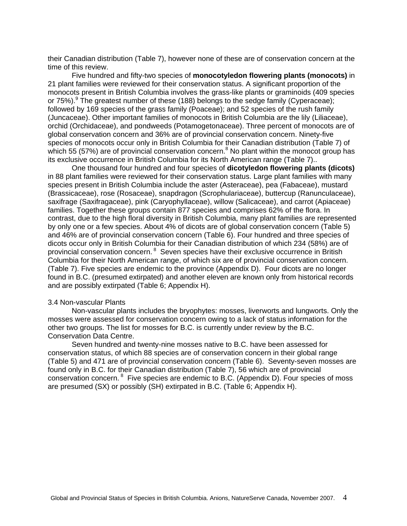their Canadian distribution (Table 7), however none of these are of conservation concern at the time of this review.

Five hundred and fifty-two species of **monocotyledon flowering plants (monocots)** in 21 plant families were reviewed for their conservation status. A significant proportion of the monocots present in British Columbia involves the grass-like plants or graminoids (409 species or 75%). <sup>9</sup> The greatest number of these (188) belongs to the sedge family (Cyperaceae); followed by 169 species of the grass family (Poaceae); and 52 species of the rush family (Juncaceae). Other important families of monocots in British Columbia are the lily (Liliaceae), orchid (Orchidaceae), and pondweeds (Potamogetonaceae). Three percent of monocots are of global conservation concern and 36% are of provincial conservation concern. Ninety-five species of monocots occur only in British Columbia for their Canadian distribution (Table 7) of which 55 (57%) are of provincial conservation concern.<sup>8</sup> No plant within the monocot group has its exclusive occurrence in British Columbia for its North American range (Table 7)..

One thousand four hundred and four species of **dicotyledon flowering plants (dicots)** in 88 plant families were reviewed for their conservation status. Large plant families with many species present in British Columbia include the aster (Asteraceae), pea (Fabaceae), mustard (Brassicaceae), rose (Rosaceae), snapdragon (Scrophulariaceae), buttercup (Ranunculaceae), saxifrage (Saxifragaceae), pink (Caryophyllaceae), willow (Salicaceae), and carrot (Apiaceae) families. Together these groups contain 877 species and comprises 62% of the flora. In contrast, due to the high floral diversity in British Columbia, many plant families are represented by only one or a few species. About 4% of dicots are of global conservation concern (Table 5) and 46% are of provincial conservation concern (Table 6). Four hundred and three species of dicots occur only in British Columbia for their Canadian distribution of which 234 (58%) are of provincial conservation concern. 8 Seven species have their exclusive occurrence in British Columbia for their North American range, of which six are of provincial conservation concern. (Table 7). Five species are endemic to the province (Appendix D). Four dicots are no longer found in B.C. (presumed extirpated) and another eleven are known only from historical records and are possibly extirpated (Table 6; Appendix H).

#### 3.4 Non-vascular Plants

Non-vascular plants includes the bryophytes: mosses, liverworts and lungworts. Only the mosses were assessed for conservation concern owing to a lack of status information for the other two groups. The list for mosses for B.C. is currently under review by the B.C. Conservation Data Centre.

Seven hundred and twenty-nine mosses native to B.C. have been assessed for conservation status, of which 88 species are of conservation concern in their global range (Table 5) and 471 are of provincial conservation concern (Table 6). Seventy-seven mosses are found only in B.C. for their Canadian distribution (Table 7), 56 which are of provincial conservation concern. 8 Five species are endemic to B.C. (Appendix D). Four species of moss are presumed (SX) or possibly (SH) extirpated in B.C. (Table 6; Appendix H).